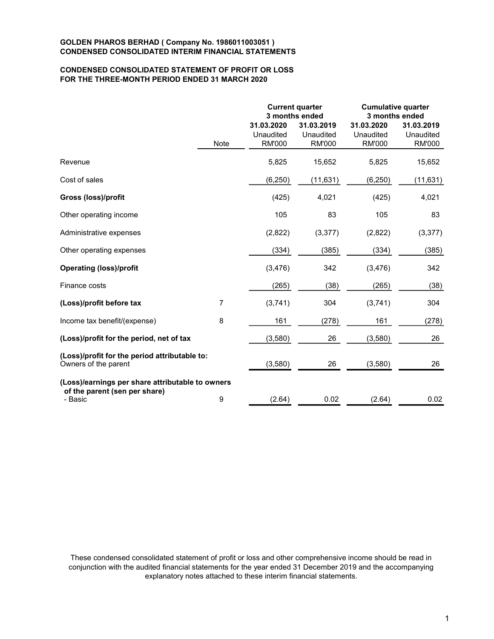# CONDENSED CONSOLIDATED STATEMENT OF PROFIT OR LOSS FOR THE THREE-MONTH PERIOD ENDED 31 MARCH 2020

|                                                                       |             |                                          | <b>Current quarter</b><br>3 months ended | <b>Cumulative quarter</b><br>3 months ended |                                          |  |
|-----------------------------------------------------------------------|-------------|------------------------------------------|------------------------------------------|---------------------------------------------|------------------------------------------|--|
|                                                                       | <b>Note</b> | 31.03.2020<br>Unaudited<br><b>RM'000</b> | 31.03.2019<br>Unaudited<br><b>RM'000</b> | 31.03.2020<br>Unaudited<br><b>RM'000</b>    | 31.03.2019<br>Unaudited<br><b>RM'000</b> |  |
| Revenue                                                               |             | 5,825                                    | 15,652                                   | 5,825                                       | 15,652                                   |  |
| Cost of sales                                                         |             | (6, 250)                                 | (11, 631)                                | (6, 250)                                    | (11, 631)                                |  |
| <b>Gross (loss)/profit</b>                                            |             | (425)                                    | 4,021                                    | (425)                                       | 4,021                                    |  |
| Other operating income                                                |             | 105                                      | 83                                       | 105                                         | 83                                       |  |
| Administrative expenses                                               |             | (2,822)                                  | (3, 377)                                 | (2,822)                                     | (3, 377)                                 |  |
| Other operating expenses                                              |             | (334)                                    | (385)                                    | (334)                                       | (385)                                    |  |
| <b>Operating (loss)/profit</b>                                        |             | (3, 476)                                 | 342                                      | (3, 476)                                    | 342                                      |  |
| Finance costs                                                         |             | (265)                                    | (38)                                     | (265)                                       | (38)                                     |  |
| (Loss)/profit before tax                                              | 7           | (3,741)                                  | 304                                      | (3,741)                                     | 304                                      |  |
| Income tax benefit/(expense)                                          | 8           | 161                                      | (278)                                    | 161                                         | (278)                                    |  |
| (Loss)/profit for the period, net of tax                              |             | (3,580)                                  | 26                                       | (3,580)                                     | 26                                       |  |
| (Loss)/profit for the period attributable to:<br>Owners of the parent |             | (3,580)                                  | 26                                       | (3,580)                                     | 26                                       |  |
| (Loss)/earnings per share attributable to owners                      |             |                                          |                                          |                                             |                                          |  |
| of the parent (sen per share)<br>- Basic                              | 9           | (2.64)                                   | 0.02                                     | (2.64)                                      | 0.02                                     |  |

These condensed consolidated statement of profit or loss and other comprehensive income should be read in conjunction with the audited financial statements for the year ended 31 December 2019 and the accompanying explanatory notes attached to these interim financial statements.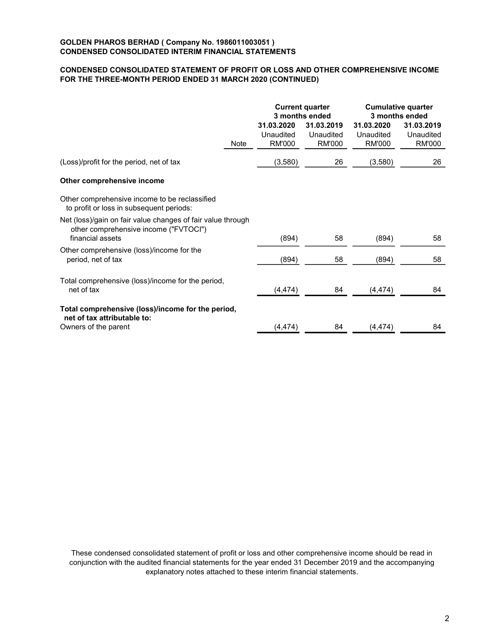# CONDENSED CONSOLIDATED STATEMENT OF PROFIT OR LOSS AND OTHER COMPREHENSIVE INCOME FOR THE THREE-MONTH PERIOD ENDED 31 MARCH 2020 (CONTINUED)

|                                          |                                          | <b>Cumulative quarter</b><br>3 months ended    |                                          |  |
|------------------------------------------|------------------------------------------|------------------------------------------------|------------------------------------------|--|
| 31.03.2020<br>Unaudited<br><b>RM'000</b> | 31.03.2019<br>Unaudited<br><b>RM'000</b> | 31.03.2020<br>Unaudited<br><b>RM'000</b>       | 31.03.2019<br>Unaudited<br><b>RM'000</b> |  |
| (3,580)                                  | 26                                       | (3,580)                                        | 26                                       |  |
|                                          |                                          |                                                |                                          |  |
|                                          |                                          |                                                |                                          |  |
| (894)                                    | 58                                       | (894)                                          | 58                                       |  |
| (894)                                    | 58                                       | (894)                                          | 58                                       |  |
| (4, 474)                                 | 84                                       | (4, 474)                                       | 84                                       |  |
|                                          |                                          |                                                | 84                                       |  |
|                                          | (4, 474)                                 | <b>Current quarter</b><br>3 months ended<br>84 | (4, 474)                                 |  |

These condensed consolidated statement of profit or loss and other comprehensive income should be read in conjunction with the audited financial statements for the year ended 31 December 2019 and the accompanying explanatory notes attached to these interim financial statements.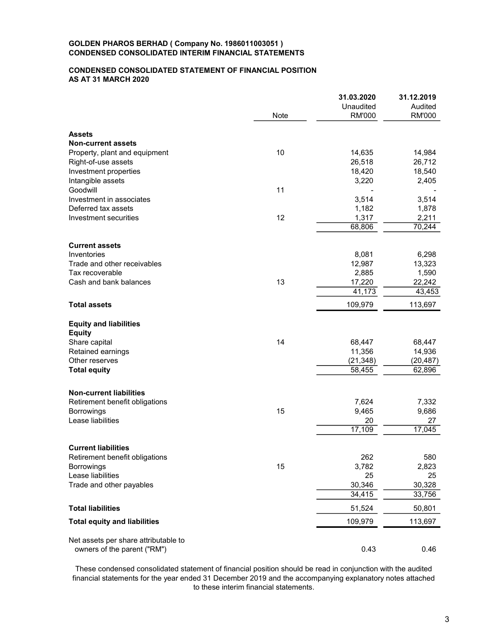## CONDENSED CONSOLIDATED STATEMENT OF FINANCIAL POSITION AS AT 31 MARCH 2020

|                                                                  |      | 31.03.2020                 | 31.12.2019               |
|------------------------------------------------------------------|------|----------------------------|--------------------------|
|                                                                  | Note | Unaudited<br><b>RM'000</b> | Audited<br><b>RM'000</b> |
| <b>Assets</b>                                                    |      |                            |                          |
| <b>Non-current assets</b>                                        |      |                            |                          |
| Property, plant and equipment                                    | 10   | 14,635                     | 14,984                   |
| Right-of-use assets                                              |      | 26,518                     | 26,712                   |
| Investment properties                                            |      | 18,420                     | 18,540                   |
| Intangible assets                                                |      | 3,220                      | 2,405                    |
| Goodwill                                                         | 11   |                            |                          |
| Investment in associates                                         |      | 3,514                      | 3,514                    |
| Deferred tax assets                                              |      | 1,182                      | 1,878                    |
| Investment securities                                            | 12   | 1,317                      | 2,211                    |
|                                                                  |      | 68,806                     | 70,244                   |
| <b>Current assets</b>                                            |      |                            |                          |
| Inventories                                                      |      | 8,081                      | 6,298                    |
| Trade and other receivables                                      |      | 12,987                     | 13,323                   |
| Tax recoverable                                                  |      | 2,885                      | 1,590                    |
| Cash and bank balances                                           | 13   | 17,220                     | 22,242                   |
|                                                                  |      | 41,173                     | 43,453                   |
| <b>Total assets</b>                                              |      | 109,979                    | 113,697                  |
| <b>Equity and liabilities</b>                                    |      |                            |                          |
| <b>Equity</b>                                                    |      |                            |                          |
| Share capital                                                    | 14   | 68,447                     | 68,447                   |
| Retained earnings                                                |      | 11,356                     | 14,936                   |
| Other reserves                                                   |      | (21, 348)                  | (20, 487)                |
| <b>Total equity</b>                                              |      | 58,455                     | 62,896                   |
|                                                                  |      |                            |                          |
| <b>Non-current liabilities</b><br>Retirement benefit obligations |      | 7,624                      | 7,332                    |
| <b>Borrowings</b>                                                | 15   | 9,465                      | 9,686                    |
| Lease liabilities                                                |      | 20                         | 27                       |
|                                                                  |      | 17,109                     | 17,045                   |
|                                                                  |      |                            |                          |
| <b>Current liabilities</b>                                       |      |                            |                          |
| Retirement benefit obligations                                   |      | 262                        | 580                      |
| <b>Borrowings</b>                                                | 15   | 3,782                      | 2,823                    |
| Lease liabilities                                                |      | 25                         | 25                       |
| Trade and other payables                                         |      | 30,346                     | 30,328                   |
|                                                                  |      | 34,415                     | 33,756                   |
| <b>Total liabilities</b>                                         |      | 51,524                     | 50,801                   |
| <b>Total equity and liabilities</b>                              |      | 109,979                    | 113,697                  |
| Net assets per share attributable to                             |      |                            |                          |
| owners of the parent ("RM")                                      |      | 0.43                       | 0.46                     |

These condensed consolidated statement of financial position should be read in conjunction with the audited financial statements for the year ended 31 December 2019 and the accompanying explanatory notes attached to these interim financial statements.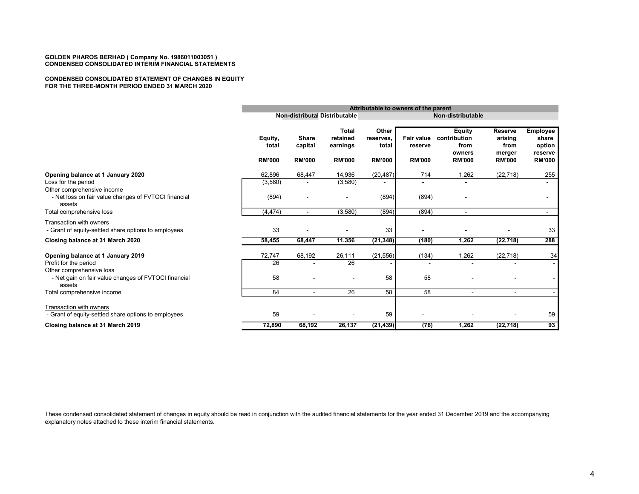#### CONDENSED CONSOLIDATED STATEMENT OF CHANGES IN EQUITY FOR THE THREE-MONTH PERIOD ENDED 31 MARCH 2020

|                                                                                 |                                   | Attributable to owners of the parent     |                                                       |                                              |                                        |                                                                  |                                                              |                                                                |
|---------------------------------------------------------------------------------|-----------------------------------|------------------------------------------|-------------------------------------------------------|----------------------------------------------|----------------------------------------|------------------------------------------------------------------|--------------------------------------------------------------|----------------------------------------------------------------|
|                                                                                 |                                   | <b>Non-distributal Distributable</b>     |                                                       |                                              | Non-distributable                      |                                                                  |                                                              |                                                                |
|                                                                                 | Equity,<br>total<br><b>RM'000</b> | <b>Share</b><br>capital<br><b>RM'000</b> | <b>Total</b><br>retained<br>earnings<br><b>RM'000</b> | Other<br>reserves.<br>total<br><b>RM'000</b> | Fair value<br>reserve<br><b>RM'000</b> | <b>Equity</b><br>contribution<br>from<br>owners<br><b>RM'000</b> | <b>Reserve</b><br>arising<br>from<br>merger<br><b>RM'000</b> | <b>Employee</b><br>share<br>option<br>reserve<br><b>RM'000</b> |
| Opening balance at 1 January 2020                                               | 62,896                            | 68,447                                   | 14,936                                                | (20, 487)                                    | 714                                    | 1,262                                                            | (22, 718)                                                    | 255                                                            |
| Loss for the period<br>Other comprehensive income                               | (3,580)                           |                                          | (3,580)                                               |                                              |                                        |                                                                  |                                                              |                                                                |
| - Net loss on fair value changes of FVTOCI financial<br>assets                  | (894)                             |                                          |                                                       | (894)                                        | (894)                                  |                                                                  |                                                              |                                                                |
| Total comprehensive loss                                                        | (4, 474)                          | $\sim$                                   | (3,580)                                               | (894)                                        | (894)                                  | $\sim$                                                           |                                                              | $\sim$                                                         |
| Transaction with owners<br>- Grant of equity-settled share options to employees | 33                                |                                          |                                                       | 33                                           |                                        |                                                                  |                                                              | 33                                                             |
| Closing balance at 31 March 2020                                                | 58,455                            | 68,447                                   | 11,356                                                | (21, 348)                                    | (180)                                  | 1,262                                                            | (22, 718)                                                    | 288                                                            |
| Opening balance at 1 January 2019                                               | 72,747                            | 68,192                                   | 26,111                                                | (21, 556)                                    | (134)                                  | 1,262                                                            | (22, 718)                                                    | 34                                                             |
| Profit for the period<br>Other comprehensive loss                               | 26                                |                                          | 26                                                    |                                              |                                        |                                                                  |                                                              |                                                                |
| - Net gain on fair value changes of FVTOCI financial<br>assets                  | 58                                |                                          |                                                       | 58                                           | 58                                     |                                                                  |                                                              |                                                                |
| Total comprehensive income                                                      | 84                                |                                          | 26                                                    | 58                                           | 58                                     | $\blacksquare$                                                   | $\blacksquare$                                               |                                                                |
| Transaction with owners<br>- Grant of equity-settled share options to employees | 59                                |                                          |                                                       | 59                                           |                                        |                                                                  |                                                              | 59                                                             |
| Closing balance at 31 March 2019                                                | 72,890                            | 68,192                                   | 26,137                                                | (21, 439)                                    | (76)                                   | 1,262                                                            | (22, 718)                                                    | 93                                                             |

These condensed consolidated statement of changes in equity should be read in conjunction with the audited financial statements for the year ended 31 December 2019 and the accompanying explanatory notes attached to these interim financial statements.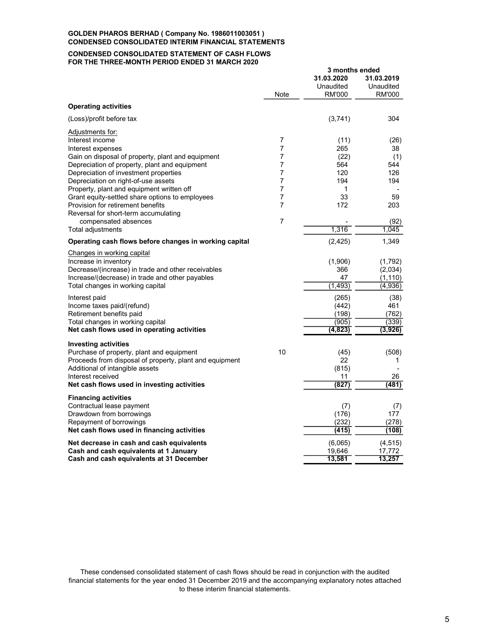#### CONDENSED CONSOLIDATED STATEMENT OF CASH FLOWS FOR THE THREE-MONTH PERIOD ENDED 31 MARCH 2020

|                                                         |                | 3 months ended |               |  |
|---------------------------------------------------------|----------------|----------------|---------------|--|
|                                                         |                | 31.03.2020     | 31.03.2019    |  |
|                                                         |                | Unaudited      | Unaudited     |  |
|                                                         | Note           | <b>RM'000</b>  | <b>RM'000</b> |  |
| <b>Operating activities</b>                             |                |                |               |  |
| (Loss)/profit before tax                                |                | (3,741)        | 304           |  |
| Adjustments for:                                        |                |                |               |  |
| Interest income                                         | 7              | (11)           | (26)          |  |
| Interest expenses                                       | 7              | 265            | 38            |  |
| Gain on disposal of property, plant and equipment       | 7              | (22)           | (1)           |  |
| Depreciation of property, plant and equipment           | 7              | 564            | 544           |  |
| Depreciation of investment properties                   | 7              | 120            | 126           |  |
| Depreciation on right-of-use assets                     | 7              | 194            | 194           |  |
| Property, plant and equipment written off               | 7              | 1              |               |  |
| Grant equity-settled share options to employees         | 7              | 33             | 59            |  |
| Provision for retirement benefits                       | $\overline{7}$ | 172            | 203           |  |
| Reversal for short-term accumulating                    | 7              |                |               |  |
| compensated absences                                    |                | 1,316          | (92)<br>1,045 |  |
| Total adjustments                                       |                |                |               |  |
| Operating cash flows before changes in working capital  |                | (2, 425)       | 1,349         |  |
| Changes in working capital                              |                |                |               |  |
| Increase in inventory                                   |                | (1,906)        | (1,792)       |  |
| Decrease/(increase) in trade and other receivables      |                | 366            | (2,034)       |  |
| Increase/(decrease) in trade and other payables         |                | 47             | (1, 110)      |  |
| Total changes in working capital                        |                | (1, 493)       | (4,936)       |  |
| Interest paid                                           |                | (265)          | (38)          |  |
| Income taxes paid/(refund)                              |                | (442)          | 461           |  |
| Retirement benefits paid                                |                | (198)          | (762)         |  |
| Total changes in working capital                        |                | (905)          | (339)         |  |
| Net cash flows used in operating activities             |                | (4, 823)       | (3,926)       |  |
| <b>Investing activities</b>                             |                |                |               |  |
| Purchase of property, plant and equipment               | 10             | (45)           | (508)         |  |
| Proceeds from disposal of property, plant and equipment |                | 22             | 1             |  |
| Additional of intangible assets                         |                | (815)          |               |  |
| Interest received                                       |                | 11             | 26            |  |
| Net cash flows used in investing activities             |                | (827)          | (481)         |  |
| <b>Financing activities</b>                             |                |                |               |  |
| Contractual lease payment                               |                | (7)            | (7)           |  |
| Drawdown from borrowings                                |                | (176)          | 177           |  |
| Repayment of borrowings                                 |                | (232)          | (278)         |  |
| Net cash flows used in financing activities             |                | (415)          | (108)         |  |
| Net decrease in cash and cash equivalents               |                | (6,065)        | (4, 515)      |  |
| Cash and cash equivalents at 1 January                  |                | 19.646         | 17,772        |  |
| Cash and cash equivalents at 31 December                |                | 13,581         | 13,257        |  |

These condensed consolidated statement of cash flows should be read in conjunction with the audited financial statements for the year ended 31 December 2019 and the accompanying explanatory notes attached to these interim financial statements.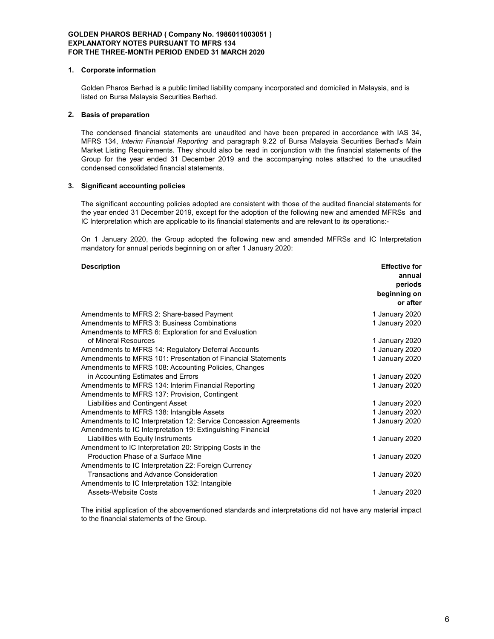### 1. Corporate information

Golden Pharos Berhad is a public limited liability company incorporated and domiciled in Malaysia, and is listed on Bursa Malaysia Securities Berhad.

## 2. Basis of preparation

The condensed financial statements are unaudited and have been prepared in accordance with IAS 34, MFRS 134, Interim Financial Reporting and paragraph 9.22 of Bursa Malaysia Securities Berhad's Main Market Listing Requirements. They should also be read in conjunction with the financial statements of the Group for the year ended 31 December 2019 and the accompanying notes attached to the unaudited condensed consolidated financial statements.

## 3. Significant accounting policies

The significant accounting policies adopted are consistent with those of the audited financial statements for the year ended 31 December 2019, except for the adoption of the following new and amended MFRSs and IC Interpretation which are applicable to its financial statements and are relevant to its operations:-

On 1 January 2020, the Group adopted the following new and amended MFRSs and IC Interpretation mandatory for annual periods beginning on or after 1 January 2020:

## Description Effective for

|                                                                   | annual         |
|-------------------------------------------------------------------|----------------|
|                                                                   | periods        |
|                                                                   | beginning on   |
|                                                                   | or after       |
| Amendments to MFRS 2: Share-based Payment                         | 1 January 2020 |
| Amendments to MFRS 3: Business Combinations                       | 1 January 2020 |
| Amendments to MFRS 6: Exploration for and Evaluation              |                |
| of Mineral Resources                                              | 1 January 2020 |
| Amendments to MFRS 14: Regulatory Deferral Accounts               | 1 January 2020 |
| Amendments to MFRS 101: Presentation of Financial Statements      | 1 January 2020 |
| Amendments to MFRS 108: Accounting Policies, Changes              |                |
| in Accounting Estimates and Errors                                | 1 January 2020 |
| Amendments to MFRS 134: Interim Financial Reporting               | 1 January 2020 |
| Amendments to MFRS 137: Provision, Contingent                     |                |
| Liabilities and Contingent Asset                                  | 1 January 2020 |
| Amendments to MFRS 138: Intangible Assets                         | 1 January 2020 |
| Amendments to IC Interpretation 12: Service Concession Agreements | 1 January 2020 |
| Amendments to IC Interpretation 19: Extinguishing Financial       |                |
| Liabilities with Equity Instruments                               | 1 January 2020 |
| Amendment to IC Interpretation 20: Stripping Costs in the         |                |
| Production Phase of a Surface Mine                                | 1 January 2020 |
| Amendments to IC Interpretation 22: Foreign Currency              |                |
| <b>Transactions and Advance Consideration</b>                     | 1 January 2020 |
| Amendments to IC Interpretation 132: Intangible                   |                |
| Assets-Website Costs                                              | 1 January 2020 |

The initial application of the abovementioned standards and interpretations did not have any material impact to the financial statements of the Group.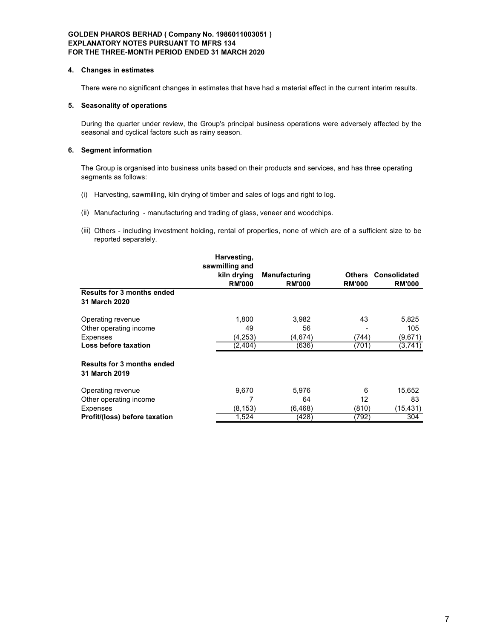### 4. Changes in estimates

There were no significant changes in estimates that have had a material effect in the current interim results.

## 5. Seasonality of operations

During the quarter under review, the Group's principal business operations were adversely affected by the seasonal and cyclical factors such as rainy season.

## 6. Segment information

The Group is organised into business units based on their products and services, and has three operating segments as follows:

- (i) Harvesting, sawmilling, kiln drying of timber and sales of logs and right to log.
- (ii) Manufacturing manufacturing and trading of glass, veneer and woodchips.
- (iii) Others including investment holding, rental of properties, none of which are of a sufficient size to be reported separately.

|                                                    | Harvesting,<br>sawmilling and |                      |               |                     |
|----------------------------------------------------|-------------------------------|----------------------|---------------|---------------------|
|                                                    | kiln drying                   | <b>Manufacturing</b> | Others        | <b>Consolidated</b> |
|                                                    | <b>RM'000</b>                 | <b>RM'000</b>        | <b>RM'000</b> | <b>RM'000</b>       |
| <b>Results for 3 months ended</b>                  |                               |                      |               |                     |
| 31 March 2020                                      |                               |                      |               |                     |
| Operating revenue                                  | 1,800                         | 3,982                | 43            | 5,825               |
| Other operating income                             | 49                            | 56                   |               | 105                 |
| Expenses                                           | (4,253)                       | (4,674)              | (744)         | (9,671)             |
| Loss before taxation                               | (2,404)                       | (636)                | (701)         | (3,741)             |
| <b>Results for 3 months ended</b><br>31 March 2019 |                               |                      |               |                     |
| Operating revenue                                  | 9,670                         | 5,976                | 6             | 15,652              |
| Other operating income                             |                               | 64                   | 12            | 83                  |
| Expenses                                           | (8, 153)                      | (6, 468)             | (810)         | (15,431)            |
| Profit/(loss) before taxation                      | 1,524                         | (428)                | (792)         | 304                 |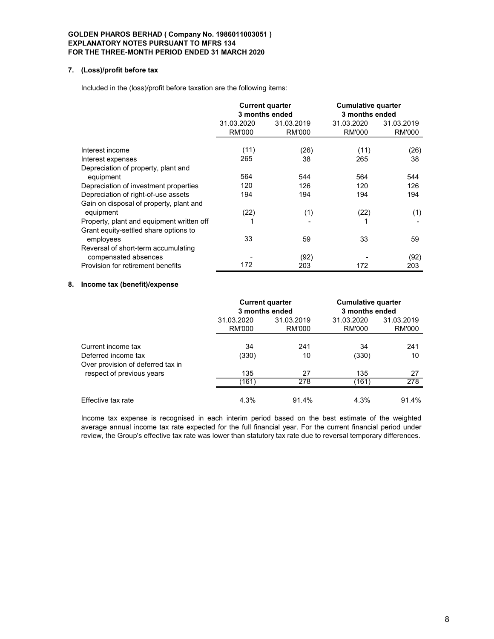### 7. (Loss)/profit before tax

Included in the (loss)/profit before taxation are the following items:

|                                           |            | <b>Current quarter</b><br>3 months ended | <b>Cumulative quarter</b><br>3 months ended |            |  |
|-------------------------------------------|------------|------------------------------------------|---------------------------------------------|------------|--|
|                                           | 31.03.2020 | 31.03.2019                               | 31.03.2020                                  | 31.03.2019 |  |
|                                           | RM'000     | RM'000                                   | <b>RM'000</b>                               | RM'000     |  |
| Interest income                           | (11)       | (26)                                     | (11)                                        | (26)       |  |
| Interest expenses                         | 265        | 38                                       | 265                                         | 38         |  |
| Depreciation of property, plant and       |            |                                          |                                             |            |  |
| equipment                                 | 564        | 544                                      | 564                                         | 544        |  |
| Depreciation of investment properties     | 120        | 126                                      | 120                                         | 126        |  |
| Depreciation of right-of-use assets       | 194        | 194                                      | 194                                         | 194        |  |
| Gain on disposal of property, plant and   |            |                                          |                                             |            |  |
| equipment                                 | (22)       | (1)                                      | (22)                                        | (1)        |  |
| Property, plant and equipment written off |            |                                          |                                             |            |  |
| Grant equity-settled share options to     |            |                                          |                                             |            |  |
| employees                                 | 33         | 59                                       | 33                                          | 59         |  |
| Reversal of short-term accumulating       |            |                                          |                                             |            |  |
| compensated absences                      |            | (92)                                     |                                             | (92)       |  |
| Provision for retirement benefits         | 172        | 203                                      | 172                                         | 203        |  |

## 8. Income tax (benefit)/expense

|                                                                                |                      | <b>Current quarter</b><br>3 months ended |                      | <b>Cumulative quarter</b><br>3 months ended |
|--------------------------------------------------------------------------------|----------------------|------------------------------------------|----------------------|---------------------------------------------|
|                                                                                | 31.03.2020<br>RM'000 | 31.03.2019<br>RM'000                     | 31.03.2020<br>RM'000 | 31.03.2019<br>RM'000                        |
| Current income tax<br>Deferred income tax<br>Over provision of deferred tax in | 34<br>(330)          | 241<br>10                                | 34<br>(330)          | 241<br>10                                   |
| respect of previous years                                                      | 135<br>(161)         | 27<br>278                                | 135<br>(161)         | 27<br>278                                   |
| Effective tax rate                                                             | 4.3%                 | 91.4%                                    | 4.3%                 | 91.4%                                       |

Income tax expense is recognised in each interim period based on the best estimate of the weighted average annual income tax rate expected for the full financial year. For the current financial period under review, the Group's effective tax rate was lower than statutory tax rate due to reversal temporary differences.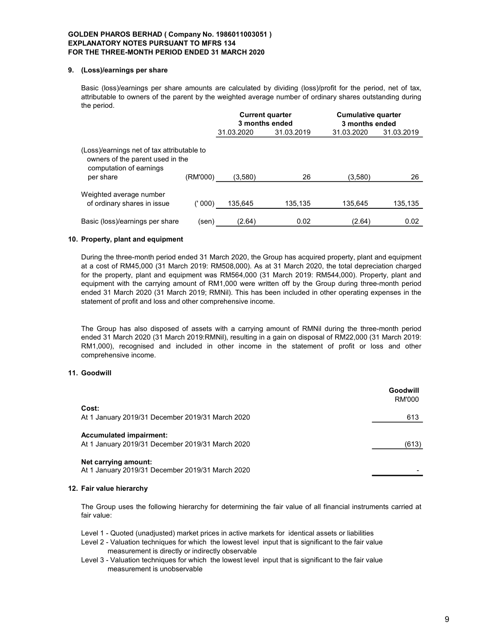### 9. (Loss)/earnings per share

Basic (loss)/earnings per share amounts are calculated by dividing (loss)/profit for the period, net of tax, attributable to owners of the parent by the weighted average number of ordinary shares outstanding during the period.

|                                                                                                                        |          |            | <b>Current quarter</b><br>3 months ended | <b>Cumulative quarter</b><br>3 months ended |            |
|------------------------------------------------------------------------------------------------------------------------|----------|------------|------------------------------------------|---------------------------------------------|------------|
|                                                                                                                        |          | 31.03.2020 | 31.03.2019                               | 31.03.2020                                  | 31.03.2019 |
| (Loss)/earnings net of tax attributable to<br>owners of the parent used in the<br>computation of earnings<br>per share | (RM'000) | (3,580)    | 26                                       | (3,580)                                     | 26         |
| Weighted average number<br>of ordinary shares in issue                                                                 | (' 000)  | 135.645    | 135.135                                  | 135.645                                     | 135,135    |
| Basic (loss)/earnings per share                                                                                        | (sen)    | (2.64)     | 0.02                                     | (2.64)                                      | 0.02       |

### 10. Property, plant and equipment

During the three-month period ended 31 March 2020, the Group has acquired property, plant and equipment at a cost of RM45,000 (31 March 2019: RM508,000). As at 31 March 2020, the total depreciation charged for the property, plant and equipment was RM564,000 (31 March 2019: RM544,000). Property, plant and equipment with the carrying amount of RM1,000 were written off by the Group during three-month period ended 31 March 2020 (31 March 2019; RMNil). This has been included in other operating expenses in the statement of profit and loss and other comprehensive income.

The Group has also disposed of assets with a carrying amount of RMNil during the three-month period ended 31 March 2020 (31 March 2019:RMNil), resulting in a gain on disposal of RM22,000 (31 March 2019: RM1,000), recognised and included in other income in the statement of profit or loss and other comprehensive income.

## 11. Goodwill

|                                                                                    | Goodwill<br>RM'000 |
|------------------------------------------------------------------------------------|--------------------|
| Cost:                                                                              |                    |
| At 1 January 2019/31 December 2019/31 March 2020                                   | 613                |
| <b>Accumulated impairment:</b><br>At 1 January 2019/31 December 2019/31 March 2020 | (613)              |
| Net carrying amount:<br>At 1 January 2019/31 December 2019/31 March 2020           |                    |

#### 12. Fair value hierarchy

The Group uses the following hierarchy for determining the fair value of all financial instruments carried at fair value:

Level 1 - Quoted (unadjusted) market prices in active markets for identical assets or liabilities

- Level 2 Valuation techniques for which the lowest level input that is significant to the fair value measurement is directly or indirectly observable
- Level 3 Valuation techniques for which the lowest level input that is significant to the fair value measurement is unobservable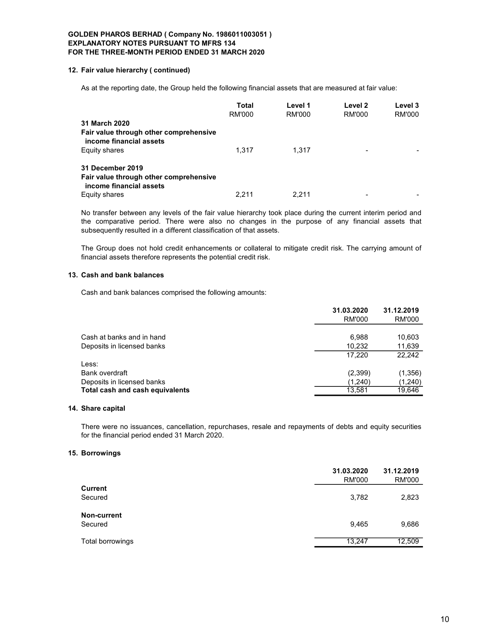#### 12. Fair value hierarchy ( continued)

As at the reporting date, the Group held the following financial assets that are measured at fair value:

|                                                                   | Total  | Level 1 | Level 2 | Level 3 |
|-------------------------------------------------------------------|--------|---------|---------|---------|
|                                                                   | RM'000 | RM'000  | RM'000  | RM'000  |
| 31 March 2020                                                     |        |         |         |         |
| Fair value through other comprehensive<br>income financial assets |        |         |         |         |
| Equity shares                                                     | 1.317  | 1.317   | -       |         |
| <b>31 December 2019</b>                                           |        |         |         |         |
| Fair value through other comprehensive<br>income financial assets |        |         |         |         |
| Equity shares                                                     | 2.211  | 2.211   |         |         |

No transfer between any levels of the fair value hierarchy took place during the current interim period and the comparative period. There were also no changes in the purpose of any financial assets that subsequently resulted in a different classification of that assets.

The Group does not hold credit enhancements or collateral to mitigate credit risk. The carrying amount of financial assets therefore represents the potential credit risk.

## 13. Cash and bank balances

Cash and bank balances comprised the following amounts:

|                                 | 31.03.2020    | 31.12.2019 |
|---------------------------------|---------------|------------|
|                                 | <b>RM'000</b> | RM'000     |
|                                 |               |            |
| Cash at banks and in hand       | 6.988         | 10,603     |
| Deposits in licensed banks      | 10,232        | 11,639     |
|                                 | 17.220        | 22.242     |
| Less:                           |               |            |
| Bank overdraft                  | (2,399)       | (1,356)    |
| Deposits in licensed banks      | (1,240)       | (1,240)    |
| Total cash and cash equivalents | 13,581        | 19,646     |
|                                 |               |            |

## 14. Share capital

There were no issuances, cancellation, repurchases, resale and repayments of debts and equity securities for the financial period ended 31 March 2020.

### 15. Borrowings

|                  | 31.03.2020<br><b>RM'000</b> | 31.12.2019<br><b>RM'000</b> |
|------------------|-----------------------------|-----------------------------|
| <b>Current</b>   |                             |                             |
| Secured          | 3,782                       | 2,823                       |
| Non-current      |                             |                             |
| Secured          | 9,465                       | 9,686                       |
| Total borrowings | 13.247                      | 12,509                      |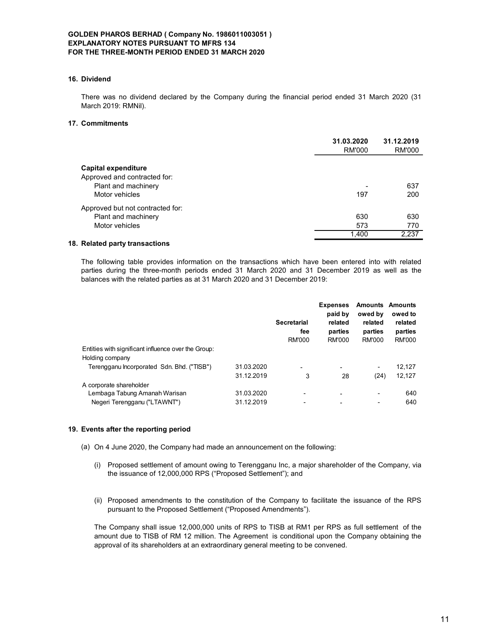## 16. Dividend

### 17. Commitments

| There was no dividend declared by the Company during the financial period ended 31 March 2020 (31<br>March 2019: RMNil).                                                                                                                   |                          |                                            |                                                                   |                                                                          |                                                |
|--------------------------------------------------------------------------------------------------------------------------------------------------------------------------------------------------------------------------------------------|--------------------------|--------------------------------------------|-------------------------------------------------------------------|--------------------------------------------------------------------------|------------------------------------------------|
| 17. Commitments                                                                                                                                                                                                                            |                          |                                            |                                                                   |                                                                          |                                                |
|                                                                                                                                                                                                                                            |                          |                                            | 31.03.2020                                                        | <b>RM'000</b>                                                            | 31.12.2019<br>RM'000                           |
| <b>Capital expenditure</b><br>Approved and contracted for:                                                                                                                                                                                 |                          |                                            |                                                                   |                                                                          |                                                |
| Plant and machinery<br>Motor vehicles                                                                                                                                                                                                      |                          |                                            |                                                                   | 197                                                                      | 637<br>200                                     |
| Approved but not contracted for:<br>Plant and machinery                                                                                                                                                                                    |                          |                                            |                                                                   | 630                                                                      | 630                                            |
| Motor vehicles                                                                                                                                                                                                                             |                          |                                            |                                                                   | 573<br>1,400                                                             | 770<br>2,237                                   |
| 18. Related party transactions<br>The following table provides information on the transactions which have been entered into with related<br>parties during the three-month periods ended 31 March 2020 and 31 December 2019 as well as the |                          |                                            |                                                                   |                                                                          |                                                |
| balances with the related parties as at 31 March 2020 and 31 December 2019:                                                                                                                                                                |                          |                                            |                                                                   |                                                                          |                                                |
|                                                                                                                                                                                                                                            |                          | <b>Secretarial</b><br>fee<br><b>RM'000</b> | <b>Expenses</b><br>paid by<br>related<br>parties<br><b>RM'000</b> | <b>Amounts Amounts</b><br>owed by<br>related<br>parties<br><b>RM'000</b> | owed to<br>related<br>parties<br><b>RM'000</b> |
| Entities with significant influence over the Group:<br>Holding company                                                                                                                                                                     |                          |                                            |                                                                   |                                                                          |                                                |
| Terengganu Incorporated Sdn. Bhd. ("TISB")                                                                                                                                                                                                 | 31.03.2020<br>31.12.2019 | 3                                          | 28                                                                | (24)                                                                     | 12,127<br>12,127                               |
| A corporate shareholder<br>$\mathbf{r}$ and $\mathbf{r}$                                                                                                                                                                                   | 0.100000                 |                                            |                                                                   |                                                                          | $\sim$ $\sim$                                  |

# The following table provides information on the transactions which have been entered into with related parties during the three-month periods ended 31 March 2020 and 31 December 2019 as well as the balances with the related parties as at 31 March 2020 and 31 December 2019:

| <b>Capital expenditure</b>                                                  |            |                    |                 |               |                        |
|-----------------------------------------------------------------------------|------------|--------------------|-----------------|---------------|------------------------|
| Approved and contracted for:                                                |            |                    |                 |               |                        |
| Plant and machinery                                                         |            |                    |                 |               | 637                    |
| Motor vehicles                                                              |            |                    |                 | 197           | 200                    |
| Approved but not contracted for:                                            |            |                    |                 |               |                        |
| Plant and machinery                                                         |            |                    |                 | 630           | 630                    |
| Motor vehicles                                                              |            |                    |                 | 573           | 770                    |
|                                                                             |            |                    |                 | 1,400         | 2,237                  |
| <b>Related party transactions</b>                                           |            |                    |                 |               |                        |
|                                                                             |            |                    |                 |               |                        |
| balances with the related parties as at 31 March 2020 and 31 December 2019: |            |                    |                 |               |                        |
|                                                                             |            |                    | <b>Expenses</b> |               | <b>Amounts Amounts</b> |
|                                                                             |            |                    | paid by         | owed by       | owed to                |
|                                                                             |            | <b>Secretarial</b> | related         | related       | related                |
|                                                                             |            | fee                | parties         | parties       | parties                |
|                                                                             |            | <b>RM'000</b>      | <b>RM'000</b>   | <b>RM'000</b> | <b>RM'000</b>          |
| Entities with significant influence over the Group:                         |            |                    |                 |               |                        |
| Holding company                                                             |            |                    |                 |               |                        |
| Terengganu Incorporated Sdn. Bhd. ("TISB")                                  | 31.03.2020 |                    |                 |               | 12,127                 |
|                                                                             | 31.12.2019 | 3                  | 28              | (24)          | 12,127                 |
| A corporate shareholder                                                     |            |                    |                 |               |                        |
| Lembaga Tabung Amanah Warisan                                               | 31.03.2020 |                    |                 |               | 640                    |
| Negeri Terengganu ("LTAWNT")                                                | 31.12.2019 |                    |                 |               | 640                    |
|                                                                             |            |                    |                 |               |                        |
| Events after the reporting period                                           |            |                    |                 |               |                        |
| (a) On 4 June 2020, the Company had made an announcement on the following:  |            |                    |                 |               |                        |
|                                                                             |            |                    |                 |               |                        |

## 19. Events after the reporting period

- (a) On 4 June 2020, the Company had made an announcement on the following:
	- (i) Proposed settlement of amount owing to Terengganu Inc, a major shareholder of the Company, via the issuance of 12,000,000 RPS ("Proposed Settlement"); and
	- (ii) Proposed amendments to the constitution of the Company to facilitate the issuance of the RPS pursuant to the Proposed Settlement ("Proposed Amendments").

The Company shall issue 12,000,000 units of RPS to TISB at RM1 per RPS as full settlement of the amount due to TISB of RM 12 million. The Agreement is conditional upon the Company obtaining the approval of its shareholders at an extraordinary general meeting to be convened.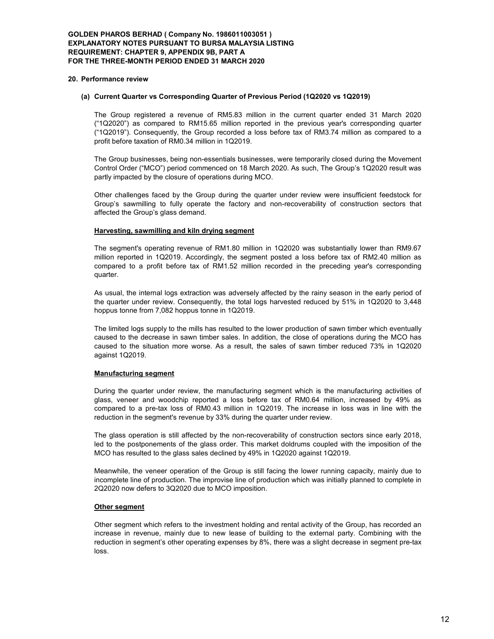## GOLDEN PHAROS BERHAD ( Company No. 1986011003051 ) EXPLANATORY NOTES PURSUANT TO BURSA MALAYSIA LISTING REQUIREMENT: CHAPTER 9, APPENDIX 9B, PART A FOR THE THREE-MONTH PERIOD ENDED 31 MARCH 2020

#### 20. Performance review

### (a) Current Quarter vs Corresponding Quarter of Previous Period (1Q2020 vs 1Q2019)

The Group registered a revenue of RM5.83 million in the current quarter ended 31 March 2020 ("1Q2020") as compared to RM15.65 million reported in the previous year's corresponding quarter ("1Q2019"). Consequently, the Group recorded a loss before tax of RM3.74 million as compared to a profit before taxation of RM0.34 million in 1Q2019.

The Group businesses, being non-essentials businesses, were temporarily closed during the Movement Control Order ("MCO") period commenced on 18 March 2020. As such, The Group's 1Q2020 result was partly impacted by the closure of operations during MCO.

Other challenges faced by the Group during the quarter under review were insufficient feedstock for Group's sawmilling to fully operate the factory and non-recoverability of construction sectors that affected the Group's glass demand.

## Harvesting, sawmilling and kiln drying segment

The segment's operating revenue of RM1.80 million in 1Q2020 was substantially lower than RM9.67 million reported in 1Q2019. Accordingly, the segment posted a loss before tax of RM2.40 million as compared to a profit before tax of RM1.52 million recorded in the preceding year's corresponding quarter.

As usual, the internal logs extraction was adversely affected by the rainy season in the early period of the quarter under review. Consequently, the total logs harvested reduced by 51% in 1Q2020 to 3,448 hoppus tonne from 7,082 hoppus tonne in 1Q2019.

The limited logs supply to the mills has resulted to the lower production of sawn timber which eventually caused to the decrease in sawn timber sales. In addition, the close of operations during the MCO has caused to the situation more worse. As a result, the sales of sawn timber reduced 73% in 1Q2020 against 1Q2019.

#### Manufacturing segment

During the quarter under review, the manufacturing segment which is the manufacturing activities of glass, veneer and woodchip reported a loss before tax of RM0.64 million, increased by 49% as compared to a pre-tax loss of RM0.43 million in 1Q2019. The increase in loss was in line with the reduction in the segment's revenue by 33% during the quarter under review.

The glass operation is still affected by the non-recoverability of construction sectors since early 2018, led to the postponements of the glass order. This market doldrums coupled with the imposition of the MCO has resulted to the glass sales declined by 49% in 1Q2020 against 1Q2019.

Meanwhile, the veneer operation of the Group is still facing the lower running capacity, mainly due to incomplete line of production. The improvise line of production which was initially planned to complete in 2Q2020 now defers to 3Q2020 due to MCO imposition.

## Other segment

Other segment which refers to the investment holding and rental activity of the Group, has recorded an increase in revenue, mainly due to new lease of building to the external party. Combining with the reduction in segment's other operating expenses by 8%, there was a slight decrease in segment pre-tax loss.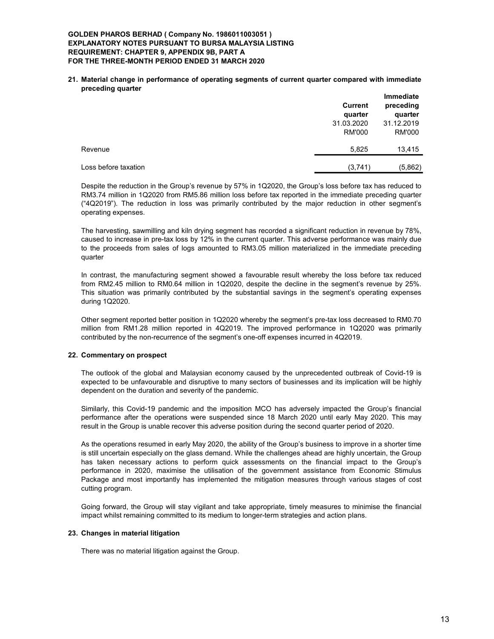### GOLDEN PHAROS BERHAD ( Company No. 1986011003051 ) EXPLANATORY NOTES PURSUANT TO BURSA MALAYSIA LISTING REQUIREMENT: CHAPTER 9, APPENDIX 9B, PART A FOR THE THREE-MONTH PERIOD ENDED 31 MARCH 2020

21. Material change in performance of operating segments of current quarter compared with immediate preceding quarter

|                      | <b>Current</b><br>quarter | <b>Immediate</b><br>preceding<br>quarter |
|----------------------|---------------------------|------------------------------------------|
|                      | 31.03.2020                | 31.12.2019                               |
|                      | <b>RM'000</b>             | <b>RM'000</b>                            |
| Revenue              | 5,825                     | 13,415                                   |
| Loss before taxation | (3,741)                   | (5,862)                                  |

Despite the reduction in the Group's revenue by 57% in 1Q2020, the Group's loss before tax has reduced to RM3.74 million in 1Q2020 from RM5.86 million loss before tax reported in the immediate preceding quarter ("4Q2019"). The reduction in loss was primarily contributed by the major reduction in other segment's operating expenses.

The harvesting, sawmilling and kiln drying segment has recorded a significant reduction in revenue by 78%, caused to increase in pre-tax loss by 12% in the current quarter. This adverse performance was mainly due to the proceeds from sales of logs amounted to RM3.05 million materialized in the immediate preceding quarter

In contrast, the manufacturing segment showed a favourable result whereby the loss before tax reduced from RM2.45 million to RM0.64 million in 1Q2020, despite the decline in the segment's revenue by 25%. This situation was primarily contributed by the substantial savings in the segment's operating expenses during 1Q2020.

Other segment reported better position in 1Q2020 whereby the segment's pre-tax loss decreased to RM0.70 million from RM1.28 million reported in 4Q2019. The improved performance in 1Q2020 was primarily contributed by the non-recurrence of the segment's one-off expenses incurred in 4Q2019.

## 22. Commentary on prospect

The outlook of the global and Malaysian economy caused by the unprecedented outbreak of Covid-19 is expected to be unfavourable and disruptive to many sectors of businesses and its implication will be highly dependent on the duration and severity of the pandemic.

Similarly, this Covid-19 pandemic and the imposition MCO has adversely impacted the Group's financial performance after the operations were suspended since 18 March 2020 until early May 2020. This may result in the Group is unable recover this adverse position during the second quarter period of 2020.

As the operations resumed in early May 2020, the ability of the Group's business to improve in a shorter time is still uncertain especially on the glass demand. While the challenges ahead are highly uncertain, the Group has taken necessary actions to perform quick assessments on the financial impact to the Group's performance in 2020, maximise the utilisation of the government assistance from Economic Stimulus Package and most importantly has implemented the mitigation measures through various stages of cost cutting program.

Going forward, the Group will stay vigilant and take appropriate, timely measures to minimise the financial impact whilst remaining committed to its medium to longer-term strategies and action plans.

## 23. Changes in material litigation

There was no material litigation against the Group.